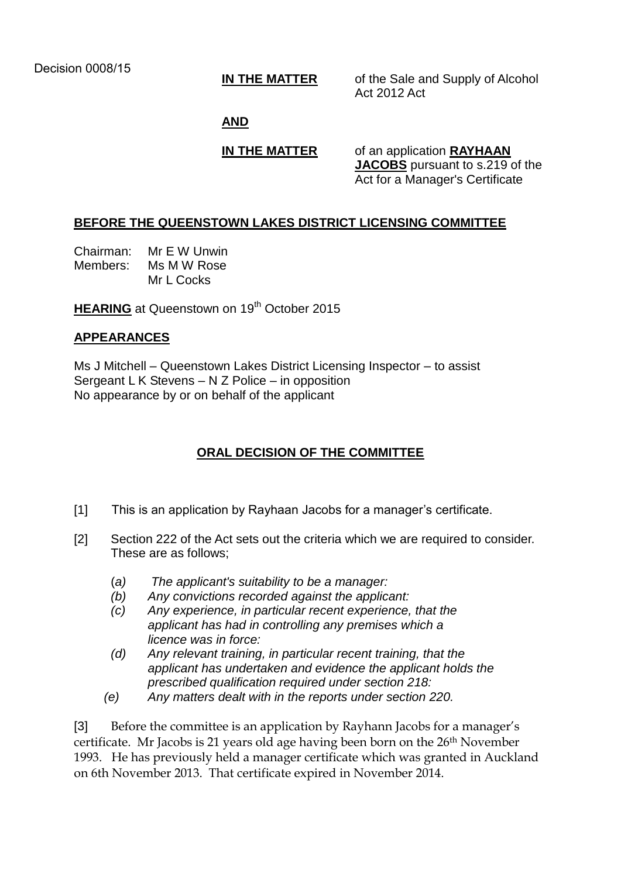**IN THE MATTER** of the Sale and Supply of Alcohol Act 2012 Act

#### **AND**

**IN THE MATTER** of an application **RAYHAAN JACOBS** pursuant to s.219 of the Act for a Manager's Certificate

## **BEFORE THE QUEENSTOWN LAKES DISTRICT LICENSING COMMITTEE**

Chairman: Mr E W Unwin Members: Ms M W Rose Mr L Cocks

**HEARING** at Queenstown on 19<sup>th</sup> October 2015

## **APPEARANCES**

Ms J Mitchell – Queenstown Lakes District Licensing Inspector – to assist Sergeant L K Stevens – N Z Police – in opposition No appearance by or on behalf of the applicant

# **ORAL DECISION OF THE COMMITTEE**

- [1] This is an application by Rayhaan Jacobs for a manager's certificate.
- [2] Section 222 of the Act sets out the criteria which we are required to consider. These are as follows;
	- (*a) The applicant's suitability to be a manager:*
	- *(b) Any convictions recorded against the applicant:*
	- *(c) Any experience, in particular recent experience, that the applicant has had in controlling any premises which a licence was in force:*
	- *(d) Any relevant training, in particular recent training, that the applicant has undertaken and evidence the applicant holds the prescribed qualification required under section 218:*
	- *(e) Any matters dealt with in the reports under section 220.*

[3] Before the committee is an application by Rayhann Jacobs for a manager's certificate. Mr Jacobs is 21 years old age having been born on the 26th November 1993. He has previously held a manager certificate which was granted in Auckland on 6th November 2013. That certificate expired in November 2014.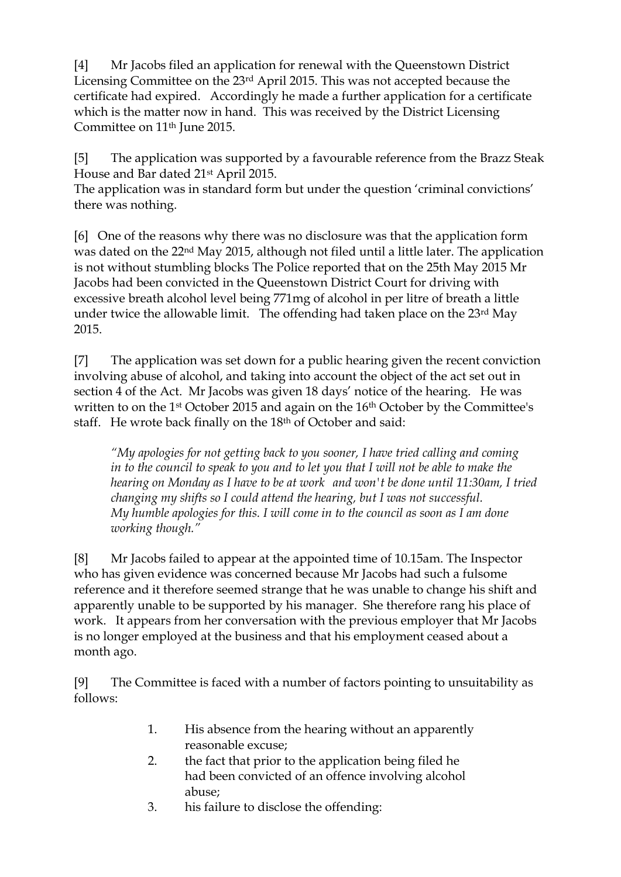[4] Mr Jacobs filed an application for renewal with the Queenstown District Licensing Committee on the 23rd April 2015. This was not accepted because the certificate had expired. Accordingly he made a further application for a certificate which is the matter now in hand. This was received by the District Licensing Committee on 11th June 2015.

[5] The application was supported by a favourable reference from the Brazz Steak House and Bar dated 21st April 2015.

The application was in standard form but under the question 'criminal convictions' there was nothing.

[6] One of the reasons why there was no disclosure was that the application form was dated on the 22nd May 2015, although not filed until a little later. The application is not without stumbling blocks The Police reported that on the 25th May 2015 Mr Jacobs had been convicted in the Queenstown District Court for driving with excessive breath alcohol level being 771mg of alcohol in per litre of breath a little under twice the allowable limit. The offending had taken place on the 23<sup>rd</sup> May 2015.

[7] The application was set down for a public hearing given the recent conviction involving abuse of alcohol, and taking into account the object of the act set out in section 4 of the Act. Mr Jacobs was given 18 days' notice of the hearing. He was written to on the 1st October 2015 and again on the 16th October by the Committee's staff. He wrote back finally on the 18th of October and said:

*"My apologies for not getting back to you sooner, I have tried calling and coming in to the council to speak to you and to let you that I will not be able to make the hearing on Monday as I have to be at work and won't be done until 11:30am, I tried changing my shifts so I could attend the hearing, but I was not successful. My humble apologies for this. I will come in to the council as soon as I am done working though."*

[8] Mr Jacobs failed to appear at the appointed time of 10.15am. The Inspector who has given evidence was concerned because Mr Jacobs had such a fulsome reference and it therefore seemed strange that he was unable to change his shift and apparently unable to be supported by his manager. She therefore rang his place of work. It appears from her conversation with the previous employer that Mr Jacobs is no longer employed at the business and that his employment ceased about a month ago.

[9] The Committee is faced with a number of factors pointing to unsuitability as follows:

- 1. His absence from the hearing without an apparently reasonable excuse;
- 2. the fact that prior to the application being filed he had been convicted of an offence involving alcohol abuse;
- 3. his failure to disclose the offending: